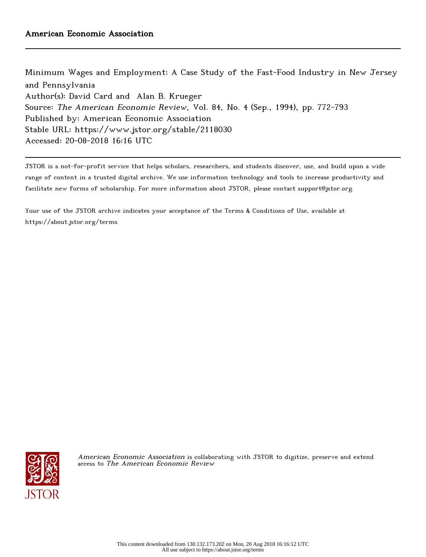Minimum Wages and Employment: A Case Study of the Fast-Food Industry in New Jersey and Pennsylvania Author(s): David Card and Alan B. Krueger Source: The American Economic Review, Vol. 84, No. 4 (Sep., 1994), pp. 772-793 Published by: American Economic Association Stable URL: https://www.jstor.org/stable/2118030 Accessed: 20-08-2018 16:16 UTC

JSTOR is a not-for-profit service that helps scholars, researchers, and students discover, use, and build upon a wide range of content in a trusted digital archive. We use information technology and tools to increase productivity and facilitate new forms of scholarship. For more information about JSTOR, please contact support@jstor.org.

Your use of the JSTOR archive indicates your acceptance of the Terms & Conditions of Use, available at https://about.jstor.org/terms



American Economic Association is collaborating with JSTOR to digitize, preserve and extend access to The American Economic Review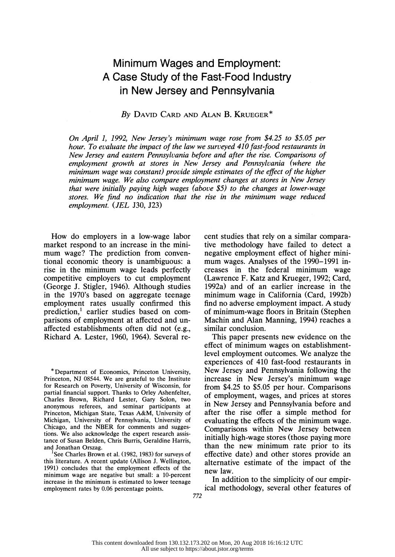# Minimum Wages and Employment: A Case Study of the Fast-Food Industry in New Jersey and Pennsylvania

# By DAVID CARD AND ALAN B. KRUEGER\*

 On April 1, 1992, New Jersey's minimum wage rose from \$4.25 to \$5.05 per hour. To evaluate the impact of the law we surveyed 410 fast-food restaurants in New Jersey and eastern Pennsylvania before and after the rise. Comparisons of employment growth at stores in New Jersey and Pennsylvania (where the minimum wage was constant) provide simple estimates of the effect of the higher minimum wage. We also compare employment changes at stores in New Jersey that were initially paying high wages (above \$5) to the changes at lower-wage stores. We find no indication that the rise in the minimum wage reduced employment. (JEL J30, J23)

 How do employers in a low-wage labor market respond to an increase in the mini mum wage? The prediction from conven tional economic theory is unambiguous: a rise in the minimum wage leads perfectly competitive employers to cut employment (George J. Stigler, 1946). Although studies in the 1970's based on aggregate teenage employment rates usually confirmed this prediction,<sup>1</sup> earlier studies based on com parisons of employment at affected and un affected establishments often did not (e.g., Richard A. Lester, 1960, 1964). Several re-

 \* Department of Economics, Princeton University, Princeton, NJ 08544. We are grateful to the Institute for Research on Poverty, University of Wisconsin, for partial financial support. Thanks to Orley Ashenfelter, Charles Brown, Richard Lester, Gary Solon, two anonymous referees, and seminar participants at Princeton, Michigan State, Texas A&M, University of Michigan, University of Pennsylvania, University of Chicago, and the NBER for comments and sugges tions. We also acknowledge the expert research assis tance of Susan Belden, Chris Burris, Geraldine Harris, and Jonathan Orszag.

See Charles Brown et al. (1982, 1983) for surveys of this literature. A recent update (Allison J. Wellington, 1991) concludes that the employment effects of the minimum wage are negative but small: a 10-percent increase in the minimum is estimated to lower teenage employment rates by 0.06 percentage points.

 cent studies that rely on a similar compara tive methodology have failed to detect a negative employment effect of higher mini mum wages. Analyses of the 1990-1991 in creases in the federal minimum wage (Lawrence F. Katz and Krueger, 1992; Card, 1992a) and of an earlier increase in the minimum wage in California (Card, 1992b) find no adverse employment impact. A study of minimum-wage floors in Britain (Stephen Machin and Alan Manning, 1994) reaches a similar conclusion.

 This paper presents new evidence on the effect of minimum wages on establishment level employment outcomes. We analyze the experiences of 410 fast-food restaurants in New Jersey and Pennsylvania following the increase in New Jersey's minimum wage from \$4.25 to \$5.05 per hour. Comparisons of employment, wages, and prices at stores in New Jersey and Pennsylvania before and after the rise offer a simple method for evaluating the effects of the minimum wage. Comparisons within New Jersey between initially high-wage stores (those paying more than the new minimum rate prior to its effective date) and other stores provide an alternative estimate of the impact of the new law.

 In addition to the simplicity of our empir ical methodology, several other features of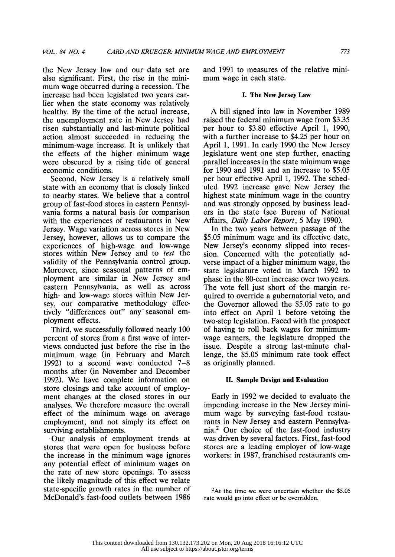the New Jersey law and our data set are also significant. First, the rise in the mini mum wage occurred during a recession. The increase had been legislated two years ear lier when the state economy was relatively healthy. By the time of the actual increase, the unemployment rate in New Jersey had risen substantially and last-minute political action almost succeeded in reducing the minimum-wage increase. It is unlikely that the effects of the higher minimum wage were obscured by a rising tide of general economic conditions.

 Second, New Jersey is a relatively small state with an economy that is closely linked to nearby states. We believe that a control group of fast-food stores in eastern Pennsyl vania forms a natural basis for comparison with the experiences of restaurants in New Jersey. Wage variation across stores in New Jersey, however, allows us to compare the experiences of high-wage and low-wage stores within New Jersey and to test the validity of the Pennsylvania control group. Moreover, since seasonal patterns of em ployment are similar in New Jersey and eastern Pennsylvania, as well as across high- and low-wage stores within New Jer sey, our comparative methodology effec tively "differences out" any seasonal em ployment effects.

 Third, we successfully followed nearly 100 percent of stores from a first wave of inter views conducted just before the rise in the minimum wage (in February and March 1992) to a second wave conducted 7-8 months after (in November and December 1992). We have complete information on store closings and take account of employ ment changes at the closed stores in our analyses. We therefore measure the overall effect of the minimum wage on average employment, and not simply its effect on surviving establishments.

 - Our analysis of employment trends at stores that were open for business before the increase in the minimum wage ignores any potential effect of minimum wages on the rate of new store openings. To assess the likely magnitude of this effect we relate state-specific growth rates in the number of McDonald's fast-food outlets between 1986  and 1991 to measures of the relative mini mum wage in each state.

### I. The New Jersey Law

 A bill signed into law in November 1989 raised the federal minimum wage from \$3.35 per hour to \$3.80 effective April 1, 1990, with a further increase to \$4.25 per hour on April 1, 1991. In early 1990 the New Jersey legislature went one step further, enacting parallel increases in the state minimum wage for 1990 and 1991 and an increase to \$5.05 per hour effective April 1, 1992. The sched uled 1992 increase gave New Jersey the highest state minimum wage in the country and was strongly opposed by business lead ers in the state (see Bureau of National Affairs, Daily Labor Report, 5 May 1990).

 In the two years between passage of the \$5.05 minimum wage and its effective date, New Jersey's economy slipped into reces sion. Concerned with the potentially ad verse impact of a higher minimum wage, the state legislature voted in March 1992 to phase in the 80-cent increase over two years. The vote fell just short of the margin re quired to override a gubernatorial veto, and the Governor allowed the \$5.05 rate to go into effect on April 1 before vetoing the two-step legislation. Faced with the prospect of having to roll back wages for minimum wage earners, the legislature dropped the issue. Despite a strong last-minute chal lenge, the \$5.05 minimum rate took effect as originally planned.

### II. Sample Design and Evaluation

 Early in 1992 we decided to evaluate the impending increase in the New Jersey mini mum wage by surveying fast-food restau rants in New Jersey and eastern Pennsylva nia.2 Our choice of the fast-food industry was driven by several factors. First, fast-food stores are a leading employer of low-wage workers: in 1987, franchised restaurants em-

 $2$ At the time we were uncertain whether the \$5.05 rate would go into effect or be overridden.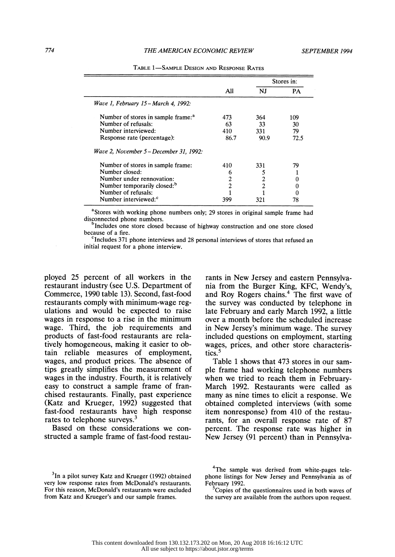### 774 THE AMERICAN ECONOMIC REVIEW SEPTEMBER 1994

|                                                |                |                | Stores in: |
|------------------------------------------------|----------------|----------------|------------|
|                                                | All            | NJ             | <b>PA</b>  |
| Wave 1, February 15 – March 4, 1992:           |                |                |            |
| Number of stores in sample frame: <sup>a</sup> | 473            | 364            | 109        |
| Number of refusals:                            | 63             | 33             | 30         |
| Number interviewed:                            | 410            | 331            | 79         |
| Response rate (percentage):                    | 86.7           | 90.9           | 72.5       |
| Wave 2, November 5 – December 31, 1992:        |                |                |            |
| Number of stores in sample frame:              | 410            | 331            | 79         |
| Number closed:                                 | 6              |                |            |
| Number under rennovation:                      | $\overline{2}$ | 2              | 0          |
| Number temporarily closed: <sup>b</sup>        | $\overline{2}$ | $\overline{c}$ | 0          |
| Number of refusals:                            |                |                | 0          |
| Number interviewed: <sup>c</sup>               | 399            | 321            | 78         |

TABLE 1-SAMPLE DESIGN AND RESPONSE RATES

<sup>a</sup>Stores with working phone numbers only; 29 stores in original sample frame had disconnected phone numbers.

<sup>b</sup>Includes one store closed because of highway construction and one store closed because of a fire.

 $\textdegree$ Includes 371 phone interviews and 28 personal interviews of stores that refused an initial request for a phone interview.

 ployed 25 percent of all workers in the restaurant industry (see U.S. Department of Commerce, 1990 table 13). Second, fast-food restaurants comply with minimum-wage reg ulations and would be expected to raise wages in response to a rise in the minimum wage. Third, the job requirements and products of fast-food restaurants are rela tively homogeneous, making it easier to ob tain reliable measures of employment, wages, and product prices. The absence of tips greatly simplifies the measurement of wages in the industry. Fourth, it is relatively easy to construct a sample frame of fran chised restaurants. Finally, past experience (Katz and Krueger, 1992) suggested that fast-food restaurants have high response rates to telephone surveys.<sup>3</sup>

 Based on these considerations we con structed a sample frame of fast-food restau rants in New Jersey and eastern Pennsylva nia from the Burger King, KFC, Wendy's, and Roy Rogers chains.<sup>4</sup> The first wave of the survey was conducted by telephone in late February and early March 1992, a little over a month before the scheduled increase in New Jersey's minimum wage. The survey included questions on employment, starting wages, prices, and other store characteris tics.<sup>5</sup>

 Table 1 shows that 473 stores in our sam ple frame had working telephone numbers when we tried to reach them in February- March 1992. Restaurants were called as many as nine times to elicit a response. We obtained completed interviews (with some item nonresponse) from 410 of the restau rants, for an overall response rate of 87 percent. The response rate was higher in New Jersey (91 percent) than in Pennsylva-

Copies of the questionnaires used in both waves of the survey are available from the authors upon request.

 $3$ In a pilot survey Katz and Krueger (1992) obtained very low response rates from McDonald's restaurants. For this reason, McDonald's restaurants were excluded from Katz and Krueger's and our sample frames.

<sup>&</sup>lt;sup>4</sup>The sample was derived from white-pages tele phone listings for New Jersey and Pennsylvania as of February 1992.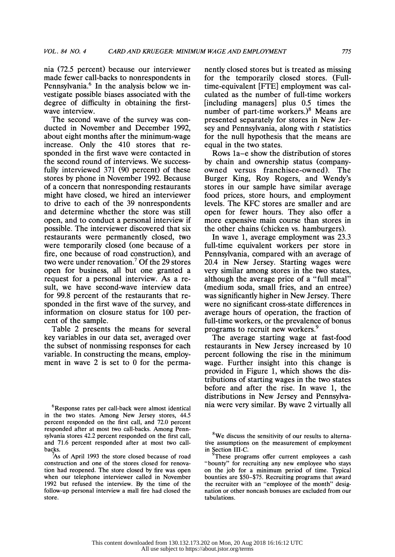nia (72.5 percent) because our interviewer made fewer call-backs to nonrespondents in Pennsylvania.<sup>6</sup> In the analysis below we in vestigate possible biases associated with the degree of difficulty in obtaining the first wave interview.

 The second wave of the survey was con ducted in November and December 1992, about eight months after the minimum-wage increase. Only the 410 stores that re sponded in the first wave were contacted in the second round of interviews. We success fully interviewed 371 (90 percent) of these stores by phone in November 1992. Because of a concern that nonresponding restaurants might have closed, we hired an interviewer to drive to each of the 39 nonrespondents and determine whether the store was still open, and to conduct a personal interview if possible. The interviewer discovered that six restaurants were permanently closed, two were temporarily closed (one because of a fire, one because of road construction), and two were under renovation.<sup>7</sup> Of the 29 stores open for business, all but one granted a request for a personal interview. As a re sult, we have second-wave interview data for 99.8 percent of the restaurants that re sponded in the first wave of the survey, and information on closure status for 100 per cent of the sample.

 Table 2 presents the means for several key variables in our data set, averaged over the subset of nonmissing responses for each variable. In constructing the means, employ ment in wave 2 is set to 0 for the perma-

 $6$ Response rates per call-back were almost identical in the two states. Among New Jersey stores, 44.5 percent responded on the first call, and 72.0 percent responded after at most two call-backs. Among Penn sylvania stores 42.2 percent responded on the first call, and 71.6 percent responded after at most two call backs.

 7As of April 1993 the store closed because of road construction and one of the stores closed for renova tion had reopened. The store closed by fire was open when our telephone interviewer called in November 1992 but refused the interview. By the time of the follow-up personal interview a mall fire had closed the store.

 nently closed stores but is treated as missing for the temporarily closed stores. (Full time-equivalent [FTE] employment was cal culated as the number of full-time workers [including managers] plus 0.5 times the number of part-time workers.)8 Means are presented separately for stores in New Jer sey and Pennsylvania, along with  $t$  statistics for the null hypothesis that the means are equal in the two states.

 Rows la-e show the distribution of stores by chain and ownership status (company owned versus franchisee-owned). The Burger King, Roy Rogers, and Wendy's stores in our sample have similar average food prices, store hours, and employment levels. The KFC stores are smaller and are open for fewer hours. They also offer a more expensive main course than stores in the other chains (chicken vs. hamburgers).

 In wave 1, average employment was 23.3 full-time equivalent workers per store in Pennsylvania, compared with an average of 20.4 in New Jersey. Starting wages were very similar among stores in the two states, although the average price of a "full meal" (medium soda, small fries, and an entree) was significantly higher in New Jersey. There were no significant cross-state differences in average hours of operation, the fraction of full-time workers, or the prevalence of bonus programs to recruit new workers.9

 The average starting wage at fast-food restaurants in New Jersey increased by 10 percent following the rise in the minimum wage. Further insight into this change is provided in Figure 1, which shows the dis tributions of starting wages in the two states before and after the rise. In wave 1, the distributions in New Jersey and Pennsylva-<br>nia were very similar. By wave 2 virtually all

<sup>&</sup>lt;sup>8</sup>We discuss the sensitivity of our results to alterna tive assumptions on the measurement of employment in Section III-C.

These programs offer current employees a cash "bounty" for recruiting any new employee who stays on the job for a minimum period of time. Typical bounties are \$50-\$75. Recruiting programs that award the recruiter with an "employee of the month" desig nation or other noncash bonuses are excluded from our tabulations.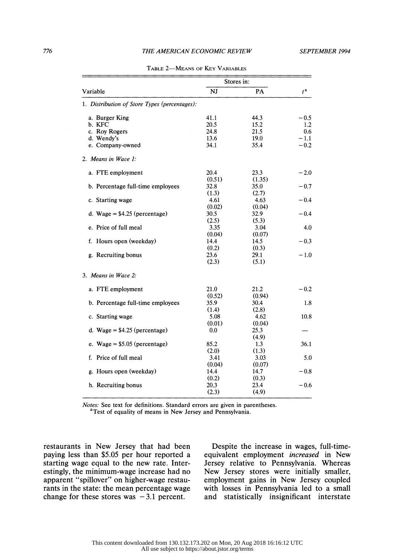# 776 THE AMERICAN ECONOMIC REVIEW SEPTEMBER 1994

|                                               | Stores in: |        |                  |
|-----------------------------------------------|------------|--------|------------------|
| Variable                                      | NJ         | PA     | $t^{\mathbf{a}}$ |
| 1. Distribution of Store Types (percentages): |            |        |                  |
| a. Burger King                                | 41.1       | 44.3   | $-0.5$           |
| b. KFC                                        | 20.5       | 15.2   | 1.2              |
| c. Roy Rogers                                 | 24.8       | 21.5   | 0.6              |
| d. Wendy's                                    | 13.6       | 19.0   | $-1.1$           |
| e. Company-owned                              | 34.1       | 35.4   | $-0.2$           |
| 2. Means in Wave 1:                           |            |        |                  |
| a. FTE employment                             | 20.4       | 23.3   | $-2.0$           |
|                                               | (0.51)     | (1.35) |                  |
| b. Percentage full-time employees             | 32.8       | 35.0   | $-0.7$           |
|                                               | (1.3)      | (2.7)  |                  |
| c. Starting wage                              | 4.61       | 4.63   | $-0.4$           |
|                                               | (0.02)     | (0.04) |                  |
| d. Wage = $$4.25$ (percentage)                | 30.5       | 32.9   | $-0.4$           |
|                                               | (2.5)      | (5.3)  |                  |
| e. Price of full meal                         | 3.35       | 3.04   | 4.0              |
|                                               | (0.04)     | (0.07) |                  |
| f. Hours open (weekday)                       | 14.4       | 14.5   | $-0.3$           |
|                                               | (0.2)      | (0.3)  |                  |
| g. Recruiting bonus                           | 23.6       | 29.1   | $-1.0$           |
|                                               | (2.3)      | (5.1)  |                  |
| 3. Means in Wave 2:                           |            |        |                  |
| a. FTE employment                             | 21.0       | 21.2   | $-0.2$           |
|                                               | (0.52)     | (0.94) |                  |
| b. Percentage full-time employees             | 35.9       | 30.4   | 1.8              |
|                                               | (1.4)      | (2.8)  |                  |
| c. Starting wage                              | 5.08       | 4.62   | 10.8             |
|                                               | (0.01)     | (0.04) |                  |
| d. Wage = $$4.25$ (percentage)                | 0.0        | 25.3   |                  |
|                                               |            | (4.9)  |                  |
| e. Wage = $$5.05$ (percentage)                | 85.2       | 1.3    | 36.1             |
|                                               | (2.0)      | (1.3)  |                  |
| f. Price of full meal                         | 3.41       | 3.03   | 5.0              |
|                                               | (0.04)     | (0.07) |                  |
| g. Hours open (weekday)                       | 14.4       | 14.7   | $-0.8$           |
|                                               | (0.2)      | (0.3)  |                  |
| h. Recruiting bonus                           | 20.3       | 23.4   | $-0.6$           |
|                                               | (2.3)      | (4.9)  |                  |

| Table 2—Means of Key Variables |  |
|--------------------------------|--|
|--------------------------------|--|

 Notes: See text for definitions. Standard errors are given in parentheses. <sup>a</sup>Test of equality of means in New Jersey and Pennsylvania.

 restaurants in New Jersey that had been paying less than \$5.05 per hour reported a starting wage equal to the new rate. Inter estingly, the minimum-wage increase had no apparent "spillover" on higher-wage restau rants in the state: the mean percentage wage change for these stores was  $-3.1$  percent.

 Despite the increase in wages, full-time equivalent employment increased in New Jersey relative to Pennsylvania. Whereas New Jersey stores were initially smaller, employment gains in New Jersey coupled with losses in Pennsylvania led to a small and statistically insignificant interstate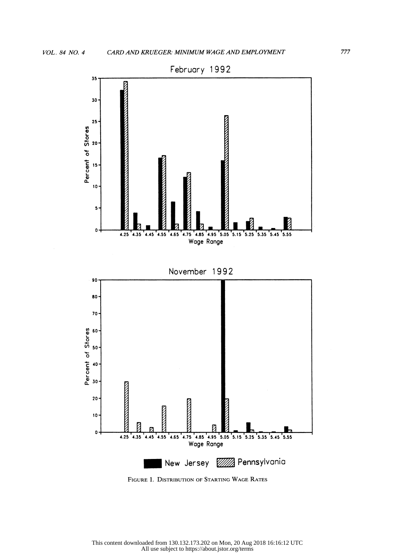

FIGURE 1. DISTRIBUTION OF STARTING WAGE RATES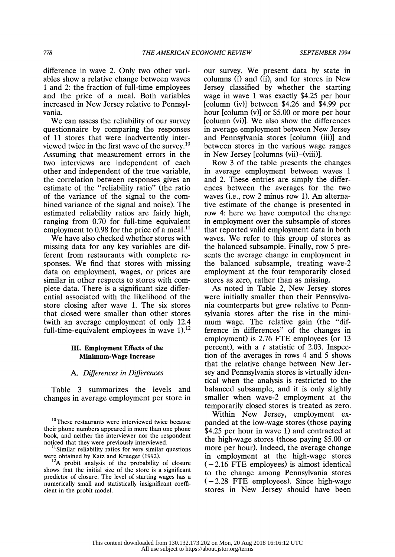difference in wave 2. Only two other vari ables show a relative change between waves 1 and 2: the fraction of full-time employees and the price of a meal. Both variables increased in New Jersey relative to Pennsyl vania.

 We can assess the reliability of our survey questionnaire by comparing the responses of 11 stores that were inadvertently inter viewed twice in the first wave of the survey.10 Assuming that measurement errors in the two interviews are independent of each other and independent of the true variable, the correlation between responses gives an estimate of the "reliability ratio" (the ratio of the variance of the signal to the com bined variance of the signal and noise). The estimated reliability ratios are fairly high, ranging from 0.70 for full-time equivalent employment to 0.98 for the price of a meal.<sup>11</sup>

 We have also checked whether stores with missing data for any key variables are dif ferent from restaurants with complete re sponses. We find that stores with missing data on employment, wages, or prices are similar in other respects to stores with com plete data. There is a significant size differ ential associated with the likelihood of the store closing after wave 1. The six stores that closed were smaller than other stores (with an average employment of only 12.4 full-time-equivalent employees in wave  $1$ ).<sup>12</sup>

# III. Employment Effects of the Minimum-Wage Increase

# A. Differences in Differences

 Table 3 summarizes the levels and changes in average employment per store in

<sup>12</sup>A probit analysis of the probability of closure shows that the initial size of the store is a significant predictor of closure. The level of starting wages has a numerically small and statistically insignificant coeffi cient in the probit model.

 our survey. We present data by state in columns (i) and (ii), and for stores in New Jersey classified by whether the starting wage in wave 1 was exactly \$4.25 per hour [column (iv)] between \$4.26 and \$4.99 per hour [column (v)] or \$5.00 or more per hour [column (vi)]. We also show the differences in average employment between New Jersey and Pennsylvania stores [column (iii)] and between stores in the various wage ranges in New Jersey [columns (vii)-(viii)].

 Row 3 of the table presents the changes in average employment between waves 1 and 2. These entries are simply the differ ences between the averages for the two waves (i.e., row 2 minus row 1). An alterna tive estimate of the change is presented in row 4: here we have computed the change in employment over the subsample of stores that reported valid employment data in both waves. We refer to this group of stores as the balanced subsample. Finally, row 5 pre sents the average change in employment in the balanced subsample, treating wave-2 employment at the four temporarily closed stores as zero, rather than as missing.

 As noted in Table 2, New Jersey stores were initially smaller than their Pennsylva nia counterparts but grew relative to Penn sylvania stores after the rise in the mini mum wage. The relative gain (the "dif ference in differences" of the changes in employment) is 2.76 FTE employees (or 13 percent), with a  $t$  statistic of 2.03. Inspec tion of the averages in rows 4 and 5 shows that the relative change between New Jer sey and Pennsylvania stores is virtually iden tical when the analysis is restricted to the balanced subsample, and it is only slightly smaller when wave-2 employment at the temporarily closed stores is treated as zero.

 Within New Jersey, employment ex panded at the low-wage stores (those paying \$4.25 per hour in wave 1) and contracted at the high-wage stores (those paying \$5.00 or more per hour). Indeed, the average change in employment at the high-wage stores  $(-2.16$  FTE employees) is almost identical to the change among Pennsylvania stores  $(-2.28$  FTE employees). Since high-wage stores in New Jersey should have been

<sup>&</sup>lt;sup>10</sup>These restaurants were interviewed twice because their phone numbers appeared in more than one phone book, and neither the interviewer nor the respondent noticed that they were previously interviewed.

 <sup>&</sup>quot;Similar reliability ratios for very similar questions were obtained by Katz and Krueger (1992).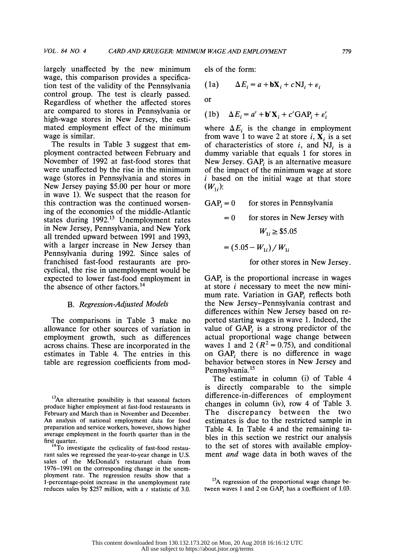largely unaffected by the new minimum wage, this comparison provides a specifica tion test of the validity of the Pennsylvania control group. The test is clearly passed. Regardless of whether the affected stores are compared to stores in Pennsylvania or high-wage stores in New Jersey, the esti mated employment effect of the minimum wage is similar.

 The results in Table 3 suggest that em ployment contracted between February and November of 1992 at fast-food stores that were unaffected by the rise in the minimum wage (stores in Pennsylvania and stores in New Jersey paying \$5.00 per hour or more in wave 1). We suspect that the reason for this contraction was the continued worsen ing of the economies of the middle-Atlantic states during 1992.<sup>13</sup> Unemployment rates in New Jersey, Pennsylvania, and New York all trended upward between 1991 and 1993, with a larger increase in New Jersey than Pennsylvania during 1992. Since sales of franchised fast-food restaurants are pro cyclical, the rise in unemployment would be expected to lower fast-food employment in the absence of other factors.14

# B. Regression-Adjusted Models

 The comparisons in Table 3 make no allowance for other sources of variation in employment growth, such as differences across chains. These are incorporated in the estimates in Table 4. The entries in this table are regression coefficients from models of the form:

(1a) 
$$
\Delta E_i = a + bX_i + cNJ_i + \varepsilon_i
$$

or

$$
(1b) \quad \Delta E_i = a' + \mathbf{b}' \mathbf{X}_i + c' \mathbf{G} \mathbf{A} \mathbf{P}_i + \varepsilon'_i
$$

where  $\Delta E_i$  is the change in employment from wave 1 to wave 2 at store  $i$ ,  $\mathbf{X}_i$  is a set of characteristics of store  $i$ , and NJ<sub>i</sub> is a dummy variable that equals 1 for stores in New Jersey. GAP is an alternative measure of the impact of the minimum wage at store  $i$  based on the initial wage at that store  $(W_1)$ :

 $GAP_i = 0$  for stores in Pennsylvania

$$
= 0
$$
 for stores in New Jersey with

$$
W_{1i} \geq $5.05
$$

$$
= (5.05 - W_{1i}) / W_{1i}
$$

for other stores in New Jersey.

GAP, is the proportional increase in wages at store i necessary to meet the new mini mum rate. Variation in  $GAP_i$  reflects both the New Jersey-Pennsylvania contrast and differences within New Jersey based on re ported starting wages in wave 1. Indeed, the value of  $GAP<sub>i</sub>$  is a strong predictor of the actual proportional wage change between waves 1 and 2 ( $R^2 = 0.75$ ), and conditional on  $GAP<sub>i</sub>$  there is no difference in wage behavior between stores in New Jersey and Pennsylvania.<sup>15</sup>

 The estimate in column (i) of Table 4 is directly comparable to the simple difference-in-differences of employment changes in column (iv), row 4 of Table 3. The discrepancy between the two estimates is due to the restricted sample in Table 4. In Table 4 and the remaining ta bles in this section we restrict our analysis to the set of stores with available employ ment and wage data in both waves of the

<sup>&</sup>lt;sup>13</sup>An alternative possibility is that seasonal factors produce higher employment at fast-food restaurants in February and March than in November and December. An analysis of national employment data for food preparation and service workers, however, shows higher average employment in the fourth quarter than in the first quarter.

<sup>&</sup>lt;sup>14</sup>To investigate the cyclicality of fast-food restau rant sales we regressed the year-to-year change in U.S. sales of the McDonald's restaurant chain from 1976-1991 on the corresponding change in the unem ployment rate. The regression results show that a 1-percentage-point increase in the unemployment rate reduces sales by \$257 million, with a  $t$  statistic of 3.0.

<sup>&</sup>lt;sup>15</sup>A regression of the proportional wage change between waves 1 and 2 on  $GAP$ , has a coefficient of 1.03.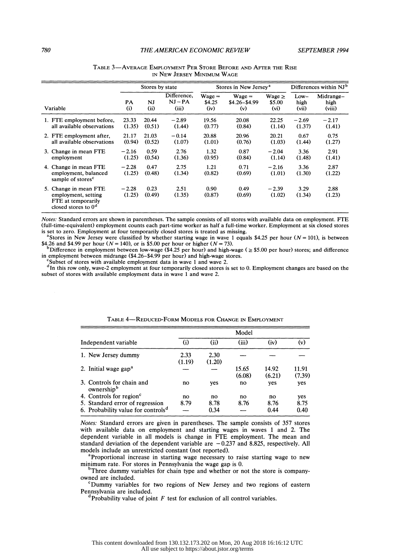|                                                                                             | Stores by state   |                        |                                   | Stores in New Jersey <sup>a</sup> | Differences within NJ <sup>b</sup> |                                            |                         |                             |
|---------------------------------------------------------------------------------------------|-------------------|------------------------|-----------------------------------|-----------------------------------|------------------------------------|--------------------------------------------|-------------------------|-----------------------------|
| Variable                                                                                    | <b>PA</b><br>(i)  | N <sub>J</sub><br>(ii) | Difference,<br>$NJ - PA$<br>(iii) | $Wage =$<br>\$4.25<br>(iv)        | $Wage =$<br>$$4.26 - $4.99$<br>(v) | Wage $\geq$<br>\$5.00<br>(v <sub>i</sub> ) | $Low-$<br>high<br>(vii) | Midrange-<br>high<br>(viii) |
| 1. FTE employment before,<br>all available observations                                     | 23.33<br>(1.35)   | 20.44<br>(0.51)        | $-2.89$<br>(1.44)                 | 19.56<br>(0.77)                   | 20.08<br>(0.84)                    | 22.25<br>(1.14)                            | $-2.69$<br>(1.37)       | $-2.17$<br>(1.41)           |
| 2. FTE employment after,<br>all available observations                                      | 21.17<br>(0.94)   | 21.03<br>(0.52)        | $-0.14$<br>(1.07)                 | 20.88<br>(1.01)                   | 20.96<br>(0.76)                    | 20.21<br>(1.03)                            | 0.67<br>(1.44)          | 0.75<br>(1.27)              |
| 3. Change in mean FTE<br>employment                                                         | $-2.16$<br>(1.25) | 0.59<br>(0.54)         | 2.76<br>(1.36)                    | 1.32<br>(0.95)                    | 0.87<br>(0.84)                     | $-2.04$<br>(1.14)                          | 3.36<br>(1.48)          | 2.91<br>(1.41)              |
| 4. Change in mean FTE<br>employment, balanced<br>sample of stores <sup>c</sup>              | $-2.28$<br>(1.25) | 0.47<br>(0.48)         | 2.75<br>(1.34)                    | 1.21<br>(0.82)                    | 0.71<br>(0.69)                     | $-2.16$<br>(1.01)                          | 3.36<br>(1.30)          | 2.87<br>(1.22)              |
| 5. Change in mean FTE<br>employment, setting<br>FTE at temporarily<br>closed stores to $0d$ | $-2.28$<br>(1.25) | 0.23<br>(0.49)         | 2.51<br>(1.35)                    | 0.90<br>(0.87)                    | 0.49<br>(0.69)                     | $-2.39$<br>(1.02)                          | 3.29<br>(1.34)          | 2.88<br>(1.23)              |

| Table 3—Average Employment Per Store Before and After the Rise |                            |  |  |  |
|----------------------------------------------------------------|----------------------------|--|--|--|
|                                                                | IN NEW JERSEY MINIMUM WAGE |  |  |  |

Notes: Standard errors are shown in parentheses. The sample consists of all stores with available data on employment. FTE (full-time-equivalent) employment counts each part-time worker as half a full-time worker. Employment at six closed stores is set to zero. Employment at four temporarily closed stores is treated as missing.

Stores in New Jersey were classified by whether starting wage in wave 1 equals \$4.25 per hour ( $N = 101$ ), is between

\$4.26 and \$4.99 per hour (N = 140), or is \$5.00 per hour or higher (N = 73).<br><sup>b</sup>Difference in employment between low-wage (\$4.25 per hour) and high-wage (  $\ge$  \$5.00 per hour) stores; and difference in employment between midrange (\$4.26-\$4.99 per hour) and high-wage stores.

 $\textdegree$ Subset of stores with available employment data in wave 1 and wave 2.

dIn this row only, wave-2 employment at four temporarily closed stores is set to 0. Employment changes are based on the subset of stores with available employment data in wave 1 and wave 2.

| Independent variable                                | (i)            | (ii)           | (iii)           | (iv)            | (v)             |
|-----------------------------------------------------|----------------|----------------|-----------------|-----------------|-----------------|
| 1. New Jersey dummy                                 | 2.33<br>(1.19) | 2.30<br>(1.20) |                 |                 |                 |
| 2. Initial wage gap <sup>a</sup>                    |                |                | 15.65<br>(6.08) | 14.92<br>(6.21) | 11.91<br>(7.39) |
| 3. Controls for chain and<br>ownership <sup>b</sup> | no             | yes            | no              | yes             | yes             |
| 4. Controls for region <sup>c</sup>                 | no             | no             | no              | no              | yes             |
| 5. Standard error of regression                     | 8.79           | 8.78           | 8.76            | 8.76            | 8.75            |
| 6. Probability value for controls <sup>d</sup>      |                | 0.34           |                 | 0.44            | 0.40            |

### TABLE 4-REDUCED-FORM MODELS FOR CHANGE IN EMPLOYMENT

 Notes: Standard errors are given in parentheses. The sample consists of 357 stores with available data on employment and starting wages in waves 1 and 2. The dependent variable in all models is change in FTE employment. The mean and standard deviation of the dependent variable are  $-0.237$  and 8.825, respectively. All models include an unrestricted constant (not reported).

<sup>a</sup>Proportional increase in starting wage necessary to raise starting wage to new minimum rate. For stores in Pennsylvania the wage gap is 0.

Three dummy variables for chain type and whether or not the store is companyowned are included.

 $\textdegree$ Dummy variables for two regions of New Jersey and two regions of eastern Pennsylvania are included.

<sup>d</sup>Probability value of joint  $F$  test for exclusion of all control variables.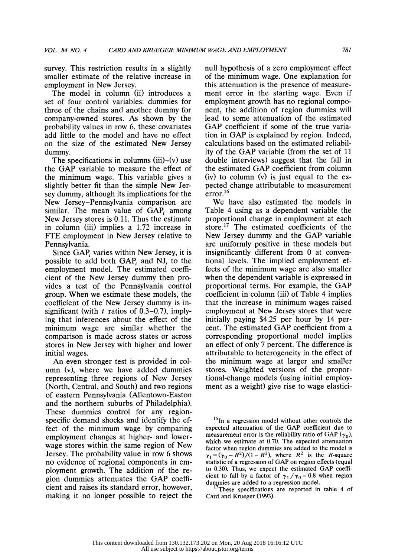survey. This restriction results in a slightly smaller estimate of the relative increase in employment in New Jersey.

 The model in column (ii) introduces a set of four control variables: dummies for three of the chains and another dummy for company-owned stores. As shown by the probability values in row 6, these covariates add little to the model and have no effect on the size of the estimated New Jersey dummy.

The specifications in columns  $(iii)$ – $(v)$  use the GAP variable to measure the effect of the minimum wage. This variable gives a slightly better fit than the simple New Jer sey dummy, although its implications for the New Jersey-Pennsylvania comparison are similar. The mean value of  $GAP$  among New Jersey stores is 0.11. Thus the estimate in column (iii) implies a 1.72 increase in FTE employment in New Jersey relative to Pennsylvania.

Since GAP, varies within New Jersey, it is possible to add both  $GAP_i$  and NJ<sub>i</sub> to the employment model. The estimated coeffi cient of the New Jersey dummy then pro vides a test of the Pennsylvania control group. When we estimate these models, the coefficient of the New Jersey dummy is in significant (with  $t$  ratios of 0.3–0.7), imply ing that inferences about the effect of the minimum wage are similar whether the comparison is made across states or across stores in New Jersey with higher and lower initial wages.

 An even stronger test is provided in col umn (v), where we have added dummies representing three regions of New Jersey (North, Central, and South) and two regions of eastern Pennsylvania (Allentown-Easton and the northern suburbs of Philadelphia). These dummies control for any region specific demand shocks and identify the ef fect of the minimum wage by comparing employment changes at higher- and lower wage stores within the same region of New Jersey. The probability value in row 6 shows no evidence of regional components in em ployment growth. The addition of the re gion dummies attenuates the GAP coeffi cient and raises its standard error, however, making it no longer possible to reject the  null hypothesis of a zero employment effect of the minimum wage. One explanation for this attenuation is the presence of measure ment error in the starting wage. Even if employment growth has no regional compo nent, the addition of region dummies will lead to some attenuation of the estimated GAP coefficient if some of the true varia tion in GAP is explained by region. Indeed, calculations based on the estimated reliabil ity of the GAP variable (from the set of 11 double interviews) suggest that the fall in the estimated GAP coefficient from column (iv) to column (v) is just equal to the ex pected change attributable to measurement  $error<sup>16</sup>$ 

 We have also estimated the models in Table 4 using as a dependent variable the proportional change in employment at each store.<sup>17</sup> The estimated coefficients of the New Jersey dummy and the GAP variable are uniformly positive in these models but insignificantly different from 0 at conven tional levels. The implied employment ef fects of the minimum wage are also smaller when the dependent variable is expressed in proportional terms. For example, the GAP coefficient in column (iii) of Table 4 implies that the increase in minimum wages raised employment at New Jersey stores that were initially paying \$4.25 per hour by 14 per cent. The estimated GAP coefficient from a corresponding proportional model implies an effect of only 7 percent. The difference is attributable to heterogeneity in the effect of the minimum wage at larger and smaller stores. Weighted versions of the propor tional-change models (using initial employ ment as a weight) give rise to wage elastici-

<sup>16</sup>In a regression model without other controls the expected attenuation of the GAP coefficient due to measurement error is the reliability ratio of GAP  $(\gamma_0)$ , which we estimate at 0.70. The expected attenuation factor when region dummies are added to the model is  $\gamma_1 = (\gamma_0 - R^2)/(1 - R^2)$ , where  $R^2$  is the R-square statistic of a regression of GAP on region effects (equal to 0.30). Thus, we expect the estimated GAP coeffi cient to fall by a factor of  $\gamma_1 / \gamma_0 = 0.8$  when region dummies are added to a regression model.

These specifications are reported in table 4 of Card and Krueger (1993).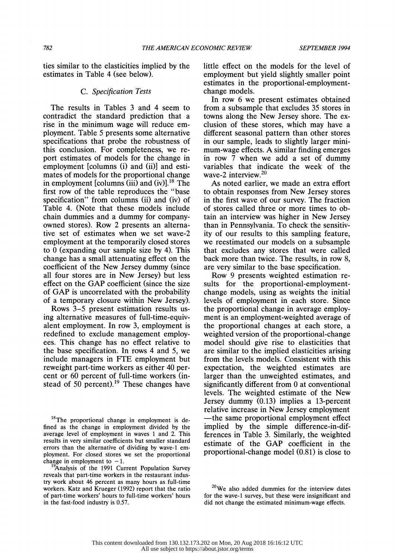ties similar to the elasticities implied by the estimates in Table 4 (see below).

# C. Specification Tests

 The results in Tables 3 and 4 seem to contradict the standard prediction that a rise in the minimum wage will reduce em ployment. Table 5 presents some alternative specifications that probe the robustness of this conclusion. For completeness, we re port estimates of models for the change in employment [columns (i) and (ii)] and esti mates of models for the proportional change in employment [columns (iii) and (iv)]. $^{18}$  The first row of the table reproduces the "base specification" from columns (ii) and (iv) of Table 4. (Note that these models include chain dummies and a dummy for company owned stores). Row 2 presents an alterna tive set of estimates when we set wave-2 employment at the temporarily closed stores to 0 (expanding our sample size by 4). This change has a small attenuating effect on the coefficient of the New Jersey dummy (since all four stores are in New Jersey) but less effect on the GAP coefficient (since the size of GAP is uncorrelated with the probability of a temporary closure within New Jersey).

 Rows 3-5 present estimation results us ing alternative measures of full-time-equiv alent employment. In row 3, employment is redefined to exclude management employ ees. This change has no effect relative to the base specification. In rows 4 and 5, we include managers in FTE employment but reweight part-time workers as either 40 per cent or 60 percent of full-time workers (in stead of  $50$  percent).<sup>19</sup> These changes have

<sup>18</sup>The proportional change in employment is de fined as the change in employment divided by the average level of employment in waves 1 and 2. This results in very similar coefficients but smaller standard errors than the alternative of dividing by wave-1 em ployment. For closed stores we set the proportional change in employment to  $-1$ .

Analysis of the 1991 Current Population Survey reveals that part-time workers in the restaurant indus try work about 46 percent as many hours as full-time workers. Katz and Krueger (1992) report that the ratio of part-time workers' hours to full-time workers' hours in the fast-food industry is 0.57.

 little effect on the models for the level of employment but yield slightly smaller point estimates in the proportional-employment change models.

 In row 6 we present estimates obtained from a subsample that excludes 35 stores in towns along the New Jersey shore. The ex clusion of these stores, which may have a different seasonal pattern than other stores in our sample, leads to slightly larger mini mum-wage effects. A similar finding emerges in row 7 when we add a set of dummy variables that indicate the week of the wave-2 interview.20

 As noted earlier, we made an extra effort to obtain responses from New Jersey stores in the first wave of our survey. The fraction of stores called three or more times to ob tain an interview was higher in New Jersey than in Pennsylvania. To check the sensitiv ity of our results to this sampling feature, we reestimated our models on a subsample that excludes any stores that were called back more than twice. The results, in row 8, are very similar to the base specification.

 Row 9 presents weighted estimation re sults for the proportional-employment change models, using as weights the initial levels of employment in each store. Since the proportional change in average employ ment is an employment-weighted average of the proportional changes at each store, a weighted version of the proportional-change model should give rise to elasticities that are similar to the implied elasticities arising from the levels models. Consistent with this expectation, the weighted estimates are larger than the unweighted estimates, and significantly different from 0 at conventional levels. The weighted estimate of the New Jersey dummy (0.13) implies a 13-percent relative increase in New Jersey employment -the same proportional employment effect implied by the simple difference-in-dif ferences in Table 3. Similarly, the weighted estimate of the GAP coefficient in the proportional-change model (0.81) is close to

 $20$ We also added dummies for the interview dates for the wave-1 survey, but these were insignificant and did not change the estimated minimum-wage effects.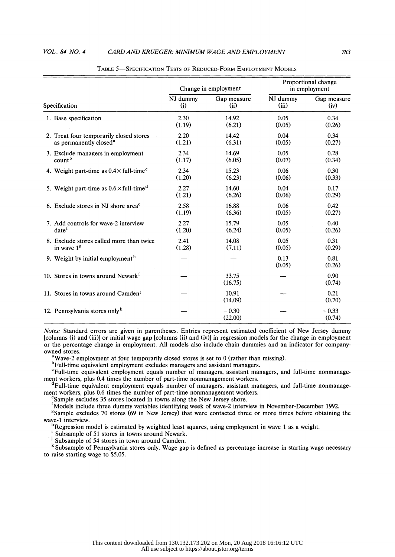### VOL. 84 NO. 4 CARD AND KRUEGER: MINIMUM WAGE AND EMPLOYMENT 783

|               |                                                                               |                 | Change in employment | Proportional change<br>in employment |                     |  |
|---------------|-------------------------------------------------------------------------------|-----------------|----------------------|--------------------------------------|---------------------|--|
| Specification |                                                                               | NJ dummy<br>(i) | Gap measure<br>(ii)  | NJ dummy<br>(iii)                    | Gap measure<br>(iv) |  |
|               | 1. Base specification                                                         | 2.30<br>(1.19)  | 14.92<br>(6.21)      | 0.05<br>(0.05)                       | 0.34<br>(0.26)      |  |
|               | 2. Treat four temporarily closed stores<br>as permanently closed <sup>a</sup> | 2.20<br>(1.21)  | 14.42<br>(6.31)      | 0.04<br>(0.05)                       | 0.34<br>(0.27)      |  |
|               | 3. Exclude managers in employment<br>count <sup>b</sup>                       | 2.34<br>(1.17)  | 14.69<br>(6.05)      | 0.05<br>(0.07)                       | 0.28<br>(0.34)      |  |
|               | 4. Weight part-time as $0.4 \times$ full-time <sup>c</sup>                    | 2.34<br>(1.20)  | 15.23<br>(6.23)      | 0.06<br>(0.06)                       | 0.30<br>(0.33)      |  |
|               | 5. Weight part-time as $0.6 \times$ full-time <sup>d</sup>                    | 2.27<br>(1.21)  | 14.60<br>(6.26)      | 0.04<br>(0.06)                       | 0.17<br>(0.29)      |  |
|               | 6. Exclude stores in NJ shore area <sup>e</sup>                               | 2.58<br>(1.19)  | 16.88<br>(6.36)      | 0.06<br>(0.05)                       | 0.42<br>(0.27)      |  |
|               | 7. Add controls for wave-2 interview<br>date <sup>f</sup>                     | 2.27<br>(1.20)  | 15.79<br>(6.24)      | 0.05<br>(0.05)                       | 0.40<br>(0.26)      |  |
|               | 8. Exclude stores called more than twice<br>in wave $1g$                      | 2.41<br>(1.28)  | 14.08<br>(7.11)      | 0.05<br>(0.05)                       | 0.31<br>(0.29)      |  |
|               | 9. Weight by initial employment <sup>h</sup>                                  |                 |                      | 0.13<br>(0.05)                       | 0.81<br>(0.26)      |  |
|               | 10. Stores in towns around Newark <sup>i</sup>                                |                 | 33.75<br>(16.75)     |                                      | 0.90<br>(0.74)      |  |
|               | 11. Stores in towns around Camden <sup>j</sup>                                |                 | 10.91<br>(14.09)     |                                      | 0.21<br>(0.70)      |  |
|               | 12. Pennsylvania stores only $k$                                              |                 | $-0.30$<br>(22.00)   |                                      | $-0.33$<br>(0.74)   |  |

TABLE 5-SPECIFICATION TESTS OF REDUCED-FORM EMPLOYMENT MODELS

 Notes: Standard errors are given in parentheses. Entries represent estimated coefficient of New Jersey dummy [columns (i) and (iii)] or initial wage gap [columns (ii) and (iv)] in regression models for the change in employment or the percentage change in employment. All models also include chain dummies and an indicator for company owned stores.

<sup>a</sup>Wave-2 employment at four temporarily closed stores is set to 0 (rather than missing).

bFull-time equivalent employment excludes managers and assistant managers.

 CFull-time equivalent employment equals number of managers, assistant managers, and full-time nonmanage ment workers, plus 0.4 times the number of part-time nonmanagement workers.

 $\textsuperscript{d}$ Full-time equivalent employment equals number of managers, assistant managers, and full-time nonmanagement workers, plus 0.6 times the number of part-time nonmanagement workers.

<sup>e</sup>Sample excludes 35 stores located in towns along the New Jersey shore.

fundels include three dummy variables identifying week of wave-2 interview in November-December 1992.

 $s$ Sample excludes 70 stores (69 in New Jersey) that were contacted three or more times before obtaining the wave-1 interview.

Regression model is estimated by weighted least squares, using employment in wave 1 as a weight.

'Subsample of 51 stores in towns around Newark.

 $J_3$  Subsample of 54 stores in town around Camden.

 k Subsample of Pennsylvania stores only. Wage gap is defined as percentage increase in starting wage necessary to raise starting wage to \$5.05.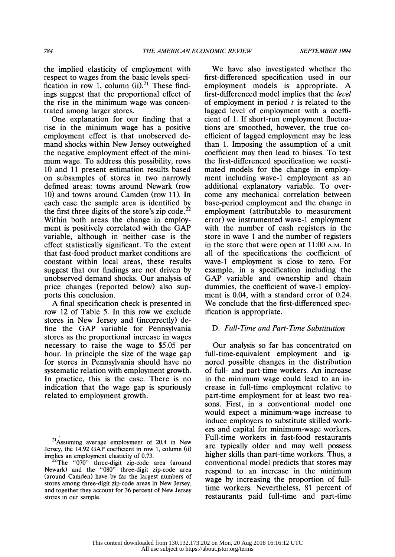the implied elasticity of employment with respect to wages from the basic levels speci fication in row 1, column (ii).<sup>21</sup> These find ings suggest that the proportional effect of the rise in the minimum wage was concen trated among larger stores.

 One explanation for our finding that a rise in the minimum wage has a positive employment effect is that unobserved de mand shocks within New Jersey outweighed the negative employment effect of the mini mum wage. To address this possibility, rows 10 and 11 present estimation results based on subsamples of stores in two narrowly defined areas: towns around Newark (row 10) and towns around Camden (row 11). In each case the sample area is identified by the first three digits of the store's zip code.<sup>22</sup> Within both areas the change in employ ment is positively correlated with the GAP variable, although in neither case is the effect statistically significant. To the extent that fast-food product market conditions are constant within local areas, these results suggest that our findings are not driven by unobserved demand shocks. Our analysis of price changes (reported below) also sup ports this conclusion.

 A final specification check is presented in row 12 of Table 5. In this row we exclude stores in New Jersey and (incorrectly) de fine the GAP variable for Pennsylvania stores as the proportional increase in wages necessary to raise the wage to \$5.05 per hour. In principle the size of the wage gap for stores in Pennsylvania should have no systematic relation with employment growth. In practice, this is the case. There is no indication that the wage gap is spuriously related to employment growth.

 We have also investigated whether the first-differenced specification used in our employment models is appropriate. A first-differenced model implies that the level of employment in period  $t$  is related to the lagged level of employment with a coeffi cient of 1. If short-run employment fluctua tions are smoothed, however, the true co efficient of lagged employment may be less than 1. Imposing the assumption of a unit coefficient may then lead to biases. To test the first-differenced specification we reesti mated models for the change in employ ment including wave-1 employment as an additional explanatory variable. To over come any mechanical correlation between base-period employment and the change in employment (attributable to measurement error) we instrumented wave-1 employment with the number of cash registers in the store in wave 1 and the number of registers in the store that were open at 11:00 A.M. In all of the specifications the coefficient of wave-1 employment is close to zero. For example, in a specification including the GAP variable and ownership and chain dummies, the coefficient of wave-1 employ ment is 0.04, with a standard error of 0.24. We conclude that the first-differenced spec ification is appropriate.

# D. Full-Time and Part-Time Substitution

 Our analysis so far has concentrated on full-time-equivalent employment and ig nored possible changes in the distribution of full- and part-time workers. An increase in the minimum wage could lead to an in crease in full-time employment relative to part-time employment for at least two rea sons. First, in a conventional model one would expect a minimum-wage increase to induce employers to substitute skilled work ers and capital for minimum-wage workers. Full-time workers in fast-food restaurants are typically older and may well possess higher skills than part-time workers. Thus, a conventional model predicts that stores may respond to an increase in the minimum wage by increasing the proportion of full time workers. Nevertheless, 81 percent of restaurants paid full-time and part-time

 $21$ Assuming average employment of 20.4 in New Jersey, the 14.92 GAP coefficient in row 1, column (ii) implies an employment elasticity of 0.73.

<sup>&</sup>lt;sup>2</sup>The "070" three-digit zip-code area (around Newark) and the "080" three-digit zip-code area (around Camden) have by far the largest numbers of stores among three-digit zip-code areas in New Jersey, and together they account for 36 percent of New Jersey stores in our sample.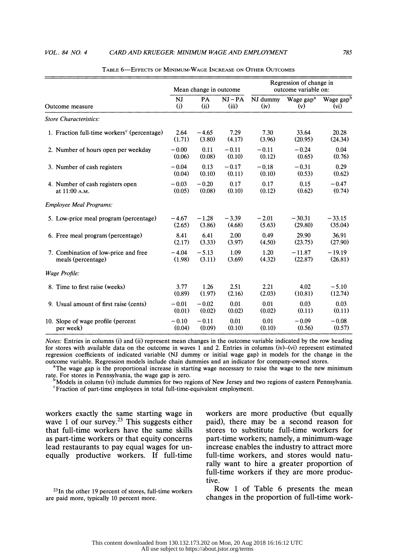Employee Meal Programs:

|                                                         | Mean change in outcome. |           |         | Regression of change in<br>outcome variable on: |                       |                       |  |
|---------------------------------------------------------|-------------------------|-----------|---------|-------------------------------------------------|-----------------------|-----------------------|--|
| Outcome measure                                         | NJ                      | <b>PA</b> | $NI-PA$ | NJ dummy                                        | Wage gap <sup>a</sup> | Wage gap <sup>b</sup> |  |
|                                                         | (i)                     | (ii)      | (iii)   | (iv)                                            | (v)                   | $(v_i)$               |  |
| Store Characteristics:                                  |                         |           |         |                                                 |                       |                       |  |
| 1. Fraction full-time workers <sup>c</sup> (percentage) | 2.64                    | $-4.65$   | 7.29    | 7.30                                            | 33.64                 | 20.28                 |  |
|                                                         | (1.71)                  | (3.80)    | (4.17)  | (3.96)                                          | (20.95)               | (24.34)               |  |
| 2. Number of hours open per weekday                     | $-0.00$                 | 0.11      | $-0.11$ | $-0.11$                                         | $-0.24$               | 0.04                  |  |
|                                                         | (0.06)                  | (0.08)    | (0.10)  | (0.12)                                          | (0.65)                | (0.76)                |  |
| 3. Number of cash registers                             | $-0.04$                 | 0.13      | $-0.17$ | $-0.18$                                         | $-0.31$               | 0.29                  |  |
|                                                         | (0.04)                  | (0.10)    | (0.11)  | (0.10)                                          | (0.53)                | (0.62)                |  |
| 4. Number of cash registers open                        | $-0.03$                 | $-0.20$   | 0.17    | 0.17                                            | 0.15                  | $-0.47$               |  |
| at 11:00 A.M.                                           | (0.05)                  | (0.08)    | (0.10)  | (0.12)                                          | (0.62)                | (0.74)                |  |

|  |  | Table 6—Effects of Minimum-Wage Increase on Other Outcomes |  |
|--|--|------------------------------------------------------------|--|
|--|--|------------------------------------------------------------|--|

5. Low-price meal program (percentage)  $-4.67$   $-1.28$   $-3.39$   $-2.01$   $-30.31$   $-33.15$ <br>(2.65) (3.86) (4.68) (5.63) (29.80) (35.04)  $(2.65)$   $(3.86)$   $(4.68)$   $(5.63)$   $(29.80)$   $(35.04)$ 6. Free meal program (percentage)  $\begin{array}{cccc} 8.41 & 6.41 & 2.00 & 0.49 & 29.90 & 36.91 \\ (2.17) & (3.33) & (3.97) & (4.50) & (23.75) & (27.90) \end{array}$  $(2.17)$   $(3.33)$   $(3.97)$   $(4.50)$   $(23.75)$   $(27.90)$ 7. Combination of low-price and free  $-4.04 -5.13$   $1.09$   $1.20$   $-11.87$   $-19.19$  meals (percentage)  $(1.98)$   $(3.11)$   $(3.69)$   $(4.32)$   $(22.87)$   $(26.81)$ meals (percentage) (1.98) (3.11) (3.69) (4.32) (22.87) (26.81)

# Wage Profile: 8. Time to first raise (weeks) 3.77 1.26 2.51 2.21 4.02 -5.10<br>(0.89) (1.97) (2.16) (2.03) (1.0.81) (12.74)  $(0.89)$   $(1.97)$   $(2.16)$   $(2.03)$   $(10.81)$   $(12.74)$ 9. Usual amount of first raise (cents)  $-0.01 -0.02$  0.01 0.01 0.03 0.03 0.03<br>
(0.01) (0.02) (0.02) (0.02) (0.02) (0.11) (0.11)  $(0.01)$   $(0.02)$   $(0.02)$   $(0.02)$   $(0.11)$   $(0.11)$ 10. Slope of wage profile (percent  $-0.10$   $-0.11$  0.01  $-0.01$   $-0.09$   $-0.08$ <br>per week)  $(0.04)$   $(0.09)$   $(0.10)$   $(0.10)$   $(0.56)$   $(0.57)$ slope of wage profile (percent  $-0.10$   $-0.11$   $0.01$   $0.01$   $-0.09$   $-0.08$ <br>per week)  $(0.04)$   $(0.09)$   $(0.10)$   $(0.10)$   $(0.56)$   $(0.57)$

 Notes: Entries in columns (i) and (ii) represent mean changes in the outcome variable indicated by the row heading for stores with available data on the outcome in waves 1 and 2. Entries in columns (iv)-(vi) represent estimated regression coefficients of indicated variable (NJ dummy or initial wage gap) in models for the change in the outcome variable. Regression models include chain dummies and an indicator for company-owned stores.

The wage gap is the proportional increase in starting wage necessary to raise the wage to the new minimum rate. For stores in Pennsylvania, the wage gap is zero.

 $\mu^{\text{O}}$ Models in column (vi) include dummies for two regions of New Jersey and two regions of eastern Pennsylvania.  ${}^c$ Fraction of part-time employees in total full-time-equivalent employment.

 workers exactly the same starting wage in wave 1 of our survey.<sup>23</sup> This suggests either that full-time workers have the same skills as part-time workers or that equity concerns lead restaurants to pay equal wages for un equally productive workers. If full-time

 $23$ In the other 19 percent of stores, full-time workers are paid more, typically 10 percent more.

 workers are more productive (but equally paid), there may be a second reason for stores to substitute full-time workers for part-time workers; namely, a minimum-wage increase enables the industry to attract more full-time workers, and stores would natu rally want to hire a greater proportion of full-time workers if they are more produc tive.

 Row 1 of Table 6 presents the mean changes in the proportion of full-time work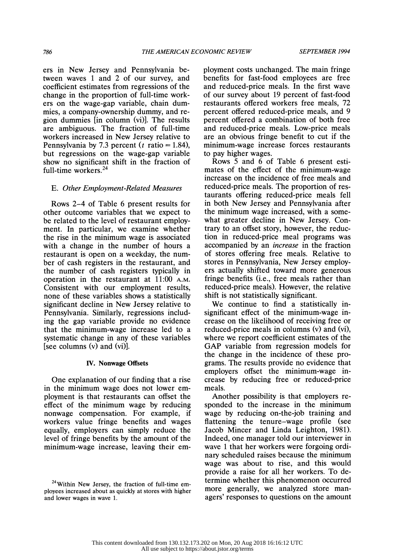ers in New Jersey and Pennsylvania be tween waves 1 and 2 of our survey, and coefficient estimates from regressions of the change in the proportion of full-time work ers on the wage-gap variable, chain dum mies, a company-ownership dummy, and re gion dummies [in column (vi)]. The results are ambiguous. The fraction of full-time workers increased in New Jersey relative to Pennsylvania by 7.3 percent ( $t$  ratio = 1.84), but regressions on the wage-gap variable show no significant shift in the fraction of full-time workers.24

# E. Other Employment-Related Measures

 Rows 2-4 of Table 6 present results for other outcome variables that we expect to be related to the level of restaurant employ ment. In particular, we examine whether the rise in the minimum wage is associated with a change in the number of hours a restaurant is open on a weekday, the num ber of cash registers in the restaurant, and the number of cash registers typically in operation in the restaurant at 11:00 A.M. Consistent with our employment results, none of these variables shows a statistically significant decline in New Jersey relative to Pennsylvania. Similarly, regressions includ ing the gap variable provide no evidence that the minimum-wage increase led to a systematic change in any of these variables [see columns (v) and (vi)].

# IV. Nonwage Offsets

 One explanation of our finding that a rise in the minimum wage does not lower em ployment is that restaurants can offset the effect of the minimum wage by reducing nonwage compensation. For example, if workers value fringe benefits and wages equally, employers can simply reduce the level of fringe benefits by the amount of the minimum-wage increase, leaving their em ployment costs unchanged. The main fringe benefits for fast-food employees are free and reduced-price meals. In the first wave of our survey about 19 percent of fast-food restaurants offered workers free meals, 72 percent offered reduced-price meals, and 9 percent offered a combination of both free and reduced-price meals. Low-price meals are an obvious fringe benefit to cut if the minimum-wage increase forces restaurants to pay higher wages.

 Rows 5 and 6 of Table 6 present esti mates of the effect of the minimum-wage increase on the incidence of free meals and reduced-price meals. The proportion of res taurants offering reduced-price meals fell in both New Jersey and Pennsylvania after the minimum wage increased, with a some what greater decline in New Jersey. Con trary to an offset story, however, the reduc tion in reduced-price meal programs was accompanied by an increase in the fraction of stores offering free meals. Relative to stores in Pennsylvania, New Jersey employ ers actually shifted toward more generous fringe benefits (i.e., free meals rather than reduced-price meals). However, the relative shift is not statistically significant.

 We continue to find a statistically in significant effect of the minimum-wage in crease on the likelihood of receiving free or reduced-price meals in columns (v) and (vi), where we report coefficient estimates of the GAP variable from regression models for the change in the incidence of these pro grams. The results provide no evidence that employers offset the minimum-wage in crease by reducing free or reduced-price meals.

 Another possibility is that employers re sponded to the increase in the minimum wage by reducing on-the-job training and flattening the tenure-wage profile (see Jacob Mincer and Linda Leighton, 1981). Indeed, one manager told our interviewer in wave 1 that her workers were forgoing ordi nary scheduled raises because the minimum wage was about to rise, and this would provide a raise for all her workers. To de termine whether this phenomenon occurred more generally, we analyzed store man agers' responses to questions on the amount

<sup>&</sup>lt;sup>24</sup>Within New Jersey, the fraction of full-time em ployees increased about as quickly at stores with higher and lower wages in wave 1.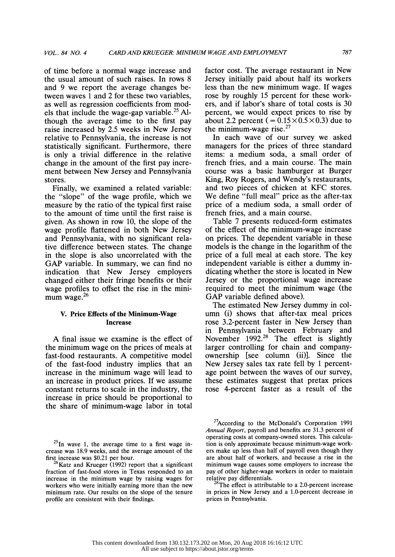of time before a normal wage increase and the usual amount of such raises. In rows 8 and 9 we report the average changes be tween waves 1 and 2 for these two variables, as well as regression coefficients from mod els that include the wage-gap variable.<sup>25</sup> Al though the average time to the first pay raise increased by 2.5 weeks in New Jersey relative to Pennsylvania, the increase is not statistically significant. Furthermore, there is only a trivial difference in the relative change in the amount of the first pay incre ment between New Jersey and Pennsylvania stores.

 Finally, we examined a related variable: the "slope" of the wage profile, which we measure by the ratio of the typical first raise to the amount of time until the first raise is given. As shown in row 10, the slope of the wage profile flattened in both New Jersey and Pennsylvania, with no significant rela tive difference between states. The change in the slope is also uncorrelated with the GAP variable. In summary, we can find no indication that New Jersey employers changed either their fringe benefits or their wage profiles to offset the rise in the mini mum wage.<sup>26</sup>

# V. Price Effects of the Minimum-Wage Increase

 A final issue we examine is the effect of the minimum wage on the prices of meals at fast-food restaurants. A competitive model of the fast-food industry implies that an increase in the minimum wage will lead to an increase in product prices. If we assume constant returns to scale in the industry, the increase in price should be proportional to the share of minimum-wage labor in total

 factor cost. The average restaurant in New Jersey initially paid about half its workers less than the new minimum wage. If wages rose by roughly 15 percent for these work ers, and if labor's share of total costs is 30 percent, we would expect prices to rise by about 2.2 percent ( $= 0.15 \times 0.5 \times 0.3$ ) due to the minimum-wage rise. $27$ 

 In each wave of our survey we asked managers for the prices of three standard items: a medium soda, a small order of french fries, and a main course. The main course was a basic hamburger at Burger King, Roy Rogers, and Wendy's restaurants, and two pieces of chicken at KFC stores. We define "full meal" price as the after-tax price of a medium soda, a small order of french fries, and a main course.

 Table 7 presents reduced-form estimates of the effect of the minimum-wage increase on prices. The dependent variable in these models is the change in the logarithm of the price of a full meal at each store. The key independent variable is either a dummy in dicating whether the store is located in New Jersey or the proportional wage increase required to meet the minimum wage (the GAP variable defined above).

 The estimated New Jersey dummy in col umn (i) shows that after-tax meal prices rose 3.2-percent faster in New Jersey than in Pennsylvania between February and November 1992.28 The effect is slightly larger controlling for chain and company ownership [see column (ii)]. Since the New Jersey sales tax rate fell by 1 percent age point between the waves of our survey, these estimates suggest that pretax prices rose 4-percent faster as a result of the

 $^{25}$ In wave 1, the average time to a first wage in crease was 18.9 weeks, and the average amount of the first increase was \$0.21 per hour.<br> $^{26}$ Kata and K

 $\beta$ Katz and Krueger (1992) report that a significant fraction of fast-food stores in Texas responded to an increase in the minimum wage by raising wages for workers who were initially earning more than the new minimum rate. Our results on the slope of the tenure profile are consistent with their findings.

<sup>&</sup>lt;sup>27</sup>According to the McDonald's Corporation 1991 Annual Report, payroll and benefits are 31.3 percent of operating costs at company-owned stores. This calcula tion is only approximate because minimum-wage work ers make up less than half of payroll even though they are about half of workers, and because a rise in the minimum wage causes some employers to increase the pay of other higher-wage workers in order to maintain relative pay differentials.

 $^{28}$ The effect is attributable to a 2.0-percent increase in prices in New Jersey and a 1.0-percent decrease in prices in Pennsylvania.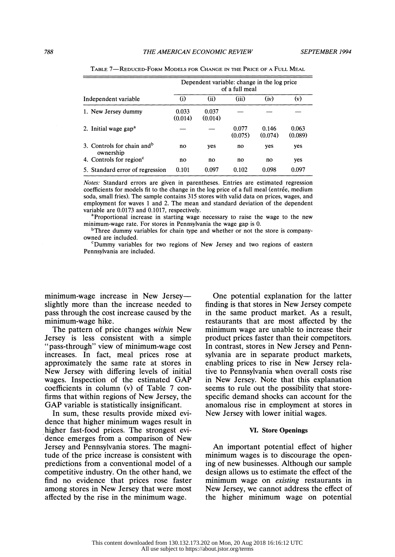|                                                     | Dependent variable: change in the log price<br>of a full meal |                  |                  |                  |                  |  |  |
|-----------------------------------------------------|---------------------------------------------------------------|------------------|------------------|------------------|------------------|--|--|
| Independent variable                                | (i)                                                           | (ii)             | (iii)            | (iv)             | (v)              |  |  |
| 1. New Jersey dummy                                 | 0.033<br>(0.014)                                              | 0.037<br>(0.014) |                  |                  |                  |  |  |
| 2. Initial wage gap <sup>a</sup>                    |                                                               |                  | 0.077<br>(0.075) | 0.146<br>(0.074) | 0.063<br>(0.089) |  |  |
| 3. Controls for chain and <sup>b</sup><br>ownership | no                                                            | yes              | no               | yes              | yes              |  |  |
| 4. Controls for region <sup>c</sup>                 | no                                                            | no               | no               | no               | yes              |  |  |
| 5. Standard error of regression                     | 0.101                                                         | 0.097            | 0.102            | 0.098            | 0.097            |  |  |

TABLE 7-REDUCED-FORM MODELS FOR CHANGE IN THE PRICE OF A FULL MEAL

 Notes: Standard errors are given in parentheses. Entries are estimated regression coefficients for models fit to the change in the log price of a full meal (entree, medium soda, small fries). The sample contains 315 stores with valid data on prices, wages, and employment for waves 1 and 2. The mean and standard deviation of the dependent variable are 0.0173 and 0.1017, respectively.

<sup>a</sup>Proportional increase in starting wage necessary to raise the wage to the new minimum-wage rate. For stores in Pennsylvania the wage gap is 0.

<sup>b</sup>Three dummy variables for chain type and whether or not the store is companyowned are included.

 $^{\circ}$ Dummy variables for two regions of New Jersey and two regions of eastern Pennsylvania are included.

minimum-wage increase in New Jersey slightly more than the increase needed to pass through the cost increase caused by the minimum-wage hike.

 The pattern of price changes within New Jersey is less consistent with a simple "pass-through" view of minimum-wage cost increases. In fact, meal prices rose at approximately the same rate at stores in New Jersey with differing levels of initial wages. Inspection of the estimated GAP coefficients in column (v) of Table 7 con firms that within regions of New Jersey, the GAP variable is statistically insignificant.

 In sum, these results provide mixed evi dence that higher minimum wages result in higher fast-food prices. The strongest evi dence emerges from a comparison of New Jersey and Pennsylvania stores. The magni tude of the price increase is consistent with predictions from a conventional model of a competitive industry. On the other hand, we find no evidence that prices rose faster among stores in New Jersey that were most affected by the rise in the minimum wage.

 One potential explanation for the latter finding is that stores in New Jersey compete in the same product market. As a result, restaurants that are most affected by the minimum wage are unable to increase their product prices faster than their competitors. In contrast, stores in New Jersey and Penn sylvania are in separate product markets, enabling prices to rise in New Jersey rela tive to Pennsylvania when overall costs rise in New Jersey. Note that this explanation seems to rule out the possibility that store specific demand shocks can account for the anomalous rise in employment at stores in New Jersey with lower initial wages.

# VI. Store Openings

 An important potential effect of higher minimum wages is to discourage the open ing of new businesses. Although our sample design allows us to estimate the effect of the minimum wage on *existing* restaurants in New Jersey, we cannot address the effect of the higher minimum wage on potential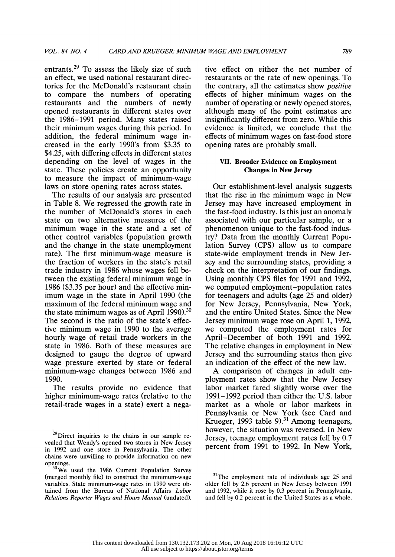entrants.29 To assess the likely size of such an effect, we used national restaurant direc tories for the McDonald's restaurant chain to compare the numbers of operating restaurants and the numbers of newly opened restaurants in different states over the 1986-1991 period. Many states raised their minimum wages during this period. In addition, the federal minimum wage in creased in the early 1990's from \$3.35 to \$4.25, with differing effects in different states depending on the level of wages in the state. These policies create an opportunity to measure the impact of minimum-wage laws on store opening rates across states.

 The results of our analysis are presented in Table 8. We regressed the growth rate in the number of McDonald's stores in each state on two alternative measures of the minimum wage in the state and a set of other control variables (population growth and the change in the state unemployment rate). The first minimum-wage measure is the fraction of workers in the state's retail trade industry in 1986 whose wages fell be tween the existing federal minimum wage in 1986 (\$3.35 per hour) and the effective min imum wage in the state in April 1990 (the maximum of the federal minimum wage and the state minimum wages as of April 1990).<sup>30</sup> The second is the ratio of the state's effec tive minimum wage in 1990 to the average hourly wage of retail trade workers in the state in 1986. Both of these measures are designed to gauge the degree of upward wage pressure exerted by state or federal minimum-wage changes between 1986 and 1990.

 The results provide no evidence that higher minimum-wage rates (relative to the retail-trade wages in a state) exert a nega tive effect on either the net number of restaurants or the rate of new openings. To the contrary, all the estimates show positive effects of higher minimum wages on the number of operating or newly opened stores, although many of the point estimates are insignificantly different from zero. While this evidence is limited, we conclude that the effects of minimum wages on fast-food store opening rates are probably small.

# VII. Broader Evidence on Employment Changes in New Jersey

 Our establishment-level analysis suggests that the rise in the minimum wage in New Jersey may have increased employment in the fast-food industry. Is this just an anomaly associated with our particular sample, or a phenomenon unique to the fast-food indus try? Data from the monthly Current Popu lation Survey (CPS) allow us to compare state-wide employment trends in New Jer sey and the surrounding states, providing a check on the interpretation of our findings. Using monthly CPS files for 1991 and 1992, we computed employment-population rates for teenagers and adults (age 25 and older) for New Jersey, Pennsylvania, New York, and the entire United States. Since the New Jersey minimum wage rose on April 1, 1992, we computed the employment rates for April-December of both 1991 and 1992. The relative changes in employment in New Jersey and the surrounding states then give an indication of the effect of the new law.

 A comparison of changes in adult em ployment rates show that the New Jersey labor market fared slightly worse over the 1991-1992 period than either the U.S. labor market as a whole or labor markets in Pennsylvania or New York (see Card and Krueger, 1993 table 9).<sup>31</sup> Among teenagers, however, the situation was reversed. In New Jersey, teenage employment rates fell by 0.7 percent from 1991 to 1992. In New York,

<sup>&</sup>lt;sup>29</sup>Direct inquiries to the chains in our sample re vealed that Wendy's opened two stores in New Jersey in 1992 and one store in Pennsylvania. The other chains were unwilling to provide information on new openings.

<sup>&</sup>lt;sup>30</sup>We used the 1986 Current Population Survey (merged monthly file) to construct the minimum-wage variables. State minimum-wage rates in 1990 were ob tained from the Bureau of National Affairs Labor Relations Reporter Wages and Hours Manual (undated).

 $31$ The employment rate of individuals age 25 and older fell by 2.6 percent in New Jersey between 1991 and 1992, while it rose by 0.3 percent in Pennsylvania, and fell by 0.2 percent in the United States as a whole.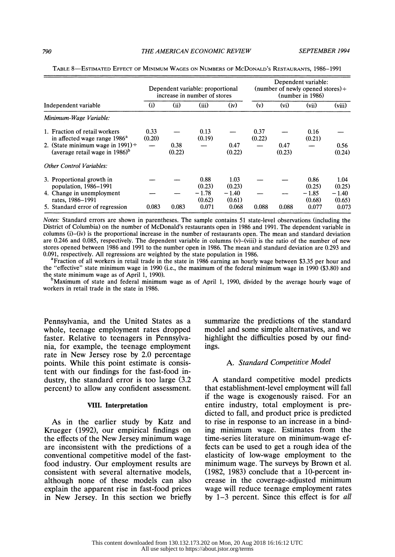|                                                                                                                                                                                   | Dependent variable: proportional<br>increase in number of stores |                |                           |                           | Dependent variable:<br>(number of newly opened stores) $\div$<br>(number in 1986) |                   |                           |                           |
|-----------------------------------------------------------------------------------------------------------------------------------------------------------------------------------|------------------------------------------------------------------|----------------|---------------------------|---------------------------|-----------------------------------------------------------------------------------|-------------------|---------------------------|---------------------------|
| Independent variable                                                                                                                                                              | (i)                                                              | (ii)           | (iii)                     | (iv)                      | (v)                                                                               | (v <sub>i</sub> ) | (vii)                     | (viii)                    |
| Minimum-Wage Variable:                                                                                                                                                            |                                                                  |                |                           |                           |                                                                                   |                   |                           |                           |
| 1. Fraction of retail workers<br>in affected wage range 1986 <sup>a</sup><br>2. (State minimum wage in 1991) $\div$<br>(average retail wage in $1986$ <sup>b</sup> ) <sup>b</sup> | 0.33<br>(0.20)                                                   | 0.38<br>(0.22) | 0.13<br>(0.19)            | 0.47<br>(0.22)            | 0.37<br>(0.22)                                                                    | 0.47<br>(0.23)    | 0.16<br>(0.21)            | 0.56<br>(0.24)            |
| <b>Other Control Variables:</b>                                                                                                                                                   |                                                                  |                |                           |                           |                                                                                   |                   |                           |                           |
| 3. Proportional growth in<br>population, 1986–1991<br>4. Change in unemployment                                                                                                   |                                                                  |                | 0.88<br>(0.23)<br>$-1.78$ | 1.03<br>(0.23)<br>$-1.40$ |                                                                                   |                   | 0.86<br>(0.25)<br>$-1.85$ | 1.04<br>(0.25)<br>$-1.40$ |
| rates, 1986–1991<br>5. Standard error of regression                                                                                                                               | 0.083                                                            | 0.083          | (0.62)<br>0.071           | (0.61)<br>0.068           | 0.088                                                                             | 0.088             | (0.68)<br>0.077           | (0.65)<br>0.073           |

TABLE 8-ESTIMATED EFFECT OF MINIMUM WAGES ON NUMBERS OF MCDONALD'S RESTAURANTS, 1986-1991

 Notes: Standard errors are shown in parentheses. The sample contains 51 state-level observations (including the District of Columbia) on the number of McDonald's restaurants open in 1986 and 1991. The dependent variable in columns (i)-(iv) is the proportional increase in the number of restaurants open. The mean and standard deviation are 0.246 and 0.085, respectively. The dependent variable in columns (v)-(viii) is the ratio of the number of new stores opened between 1986 and 1991 to the number open in 1986. The mean and standard deviation are 0.293 and 0.091, respectively. All regressions are weighted by the state population in 1986.

<sup>a</sup>Fraction of all workers in retail trade in the state in 1986 earning an hourly wage between \$3.35 per hour and the "effective" state minimum wage in 1990 (i.e., the maximum of the federal minimum wage in 1990 (\$3.80) and the state minimum wage as of April 1, 1990).

 $b$ Maximum of state and federal minimum wage as of April 1, 1990, divided by the average hourly wage of workers in retail trade in the state in 1986.

 Pennsylvania, and the United States as a whole, teenage employment rates dropped faster. Relative to teenagers in Pennsylva nia, for example, the teenage employment rate in New Jersey rose by 2.0 percentage points. While this point estimate is consis tent with our findings for the fast-food in dustry, the standard error is too large (3.2 percent) to allow any confident assessment.

# VIII. Interpretation

 As in the earlier study by Katz and Krueger (1992), our empirical findings on the effects of the New Jersey minimum wage are inconsistent with the predictions of a conventional competitive model of the fast food industry. Our employment results are consistent with several alternative models, although none of these models can also explain the apparent rise in fast-food prices in New Jersey. In this section we briefly  summarize the predictions of the standard model and some simple alternatives, and we highlight the difficulties posed by our find ings.

# A. Standard Competitive Model

 A standard competitive model predicts that establishment-level employment will fall if the wage is exogenously raised. For an entire industry, total employment is pre dicted to fall, and product price is predicted to rise in response to an increase in a bind ing minimum wage. Estimates from the time-series literature on minimum-wage ef fects can be used to get a rough idea of the elasticity of low-wage employment to the minimum wage. The surveys by Brown et al. (1982, 1983) conclude that a 10-percent in crease in the coverage-adjusted minimum wage will reduce teenage employment rates by 1-3 percent. Since this effect is for all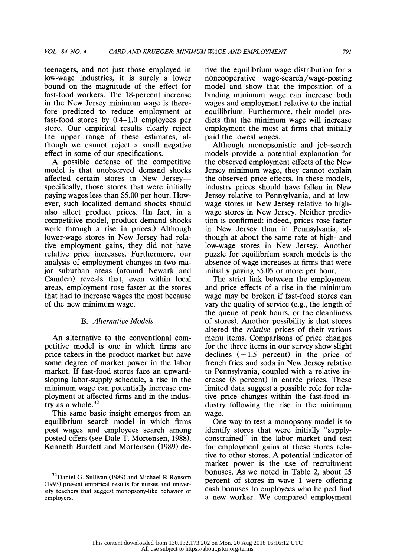teenagers, and not just those employed in low-wage industries, it is surely a lower bound on the magnitude of the effect for fast-food workers. The 18-percent increase in the New Jersey minimum wage is there fore predicted to reduce employment at fast-food stores by 0.4-1.0 employees per store. Our empirical results clearly reject the upper range of these estimates, al though we cannot reject a small negative effect in some of our specifications.

 A possible defense of the competitive model is that unobserved demand shocks affected certain stores in New Jersey specifically, those stores that were initially paying wages less than \$5.00 per hour. How ever, such localized demand shocks should also affect product prices. (In fact, in a competitive model, product demand shocks work through a rise in prices.) Although lower-wage stores in New Jersey had rela tive employment gains, they did not have relative price increases. Furthermore, our analysis of employment changes in two ma jor suburban areas (around Newark and Camden) reveals that, even within local areas, employment rose faster at the stores that had to increase wages the most because of the new minimum wage.

# B. Altemative Models

 An alternative to the conventional com petitive model is one in which firms are price-takers in the product market but have some degree of market power in the labor market. If fast-food stores face an upward sloping labor-supply schedule, a rise in the minimum wage can potentially increase em ployment at affected firms and in the indus try as a whole.<sup>32</sup>

 This same basic insight emerges from an equilibrium search model in which firms post wages and employees search among posted offers (see Dale T. Mortensen, 1988). Kenneth Burdett and Mortensen (1989) de rive the equilibrium wage distribution for a noncooperative wage-search/wage-posting model and show that the imposition of a binding minimum wage can increase both wages and employment relative to the initial equilibrium. Furthermore, their model pre dicts that the minimum wage will increase employment the most at firms that initially paid the lowest wages.

 Although monopsonistic and job-search models provide a potential explanation for the observed employment effects of the New Jersey minimum wage, they cannot explain the observed price effects. In these models, industry prices should have fallen in New Jersey relative to Pennsylvania, and at low wage stores in New Jersey relative to high wage stores in New Jersey. Neither predic tion is confirmed: indeed, prices rose faster in New Jersey than in Pennsylvania, al though at about the same rate at high- and low-wage stores in New Jersey. Another puzzle for equilibrium search models is the absence of wage increases at firms that were initially paying \$5.05 or more per hour.

 The strict link between the employment and price effects of a rise in the minimum wage may be broken if fast-food stores can vary the quality of service (e.g., the length of the queue at peak hours, or the cleanliness of stores). Another possibility is that stores altered the relative prices of their various menu items. Comparisons of price changes for the three items in our survey show slight declines  $(-1.5$  percent) in the price of french fries and soda in New Jersey relative to Pennsylvania, coupled with a relative in crease (8 percent) in entrée prices. These limited data suggest a possible role for rela tive price changes within the fast-food in dustry following the rise in the minimum wage.

 One way to test a monopsony model is to identify stores that were initially "supply constrained" in the labor market and test for employment gains at these stores rela tive to other stores. A potential indicator of market power is the use of recruitment bonuses. As we noted in Table 2, about 25 percent of stores in wave 1 were offering cash bonuses to employees who helped find a new worker. We compared employment

 $32$ Daniel G. Sullivan (1989) and Michael R Ransom (1993) present empirical results for nurses and univer sity teachers that suggest monopsony-like behavior of employers.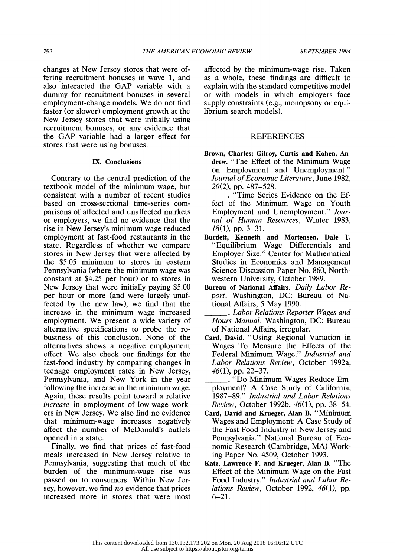changes at New Jersey stores that were of fering recruitment bonuses in wave 1, and also interacted the GAP variable with a dummy for recruitment bonuses in several employment-change models. We do not find faster (or slower) employment growth at the New Jersey stores that were initially using recruitment bonuses, or any evidence that the GAP variable had a larger effect for stores that were using bonuses.

# IX. Conclusions

 Contrary to the central prediction of the textbook model of the minimum wage, but consistent with a number of recent studies based on cross-sectional time-series com parisons of affected and unaffected markets or employers, we find no evidence that the rise in New Jersey's minimum wage reduced employment at fast-food restaurants in the state. Regardless of whether we compare stores in New Jersey that were affected by the \$5.05 minimum to stores in eastern Pennsylvania (where the minimum wage was constant at \$4.25 per hour) or to stores in New Jersey that were initially paying \$5.00 per hour or more (and were largely unaf fected by the new law), we find that the increase in the minimum wage increased employment. We present a wide variety of alternative specifications to probe the ro bustness of this conclusion. None of the alternatives shows a negative employment effect. We also check our findings for the fast-food industry by comparing changes in teenage employment rates in New Jersey, Pennsylvania, and New York in the year following the increase in the minimum wage. Again, these results point toward a relative increase in employment of low-wage work ers in New Jersey. We also find no evidence that minimum-wage increases negatively affect the number of McDonald's outlets opened in a state.

 Finally, we find that prices of fast-food meals increased in New Jersey relative to Pennsylvania, suggesting that much of the burden of the minimum-wage rise was passed on to consumers. Within New Jer sey, however, we find *no* evidence that prices increased more in stores that were most

 affected by the minimum-wage rise. Taken as a whole, these findings are difficult to explain with the standard competitive model or with models in which employers face supply constraints (e.g., monopsony or equi librium search models).

# **REFERENCES**

- Brown, Charles; Gilroy, Curtis and Kohen, An drew. "The Effect of the Minimum Wage on Employment and Unemployment." Journal of Economic Literature, June 1982, 20(2), pp. 487-528.
- \_ "Time Series Evidence on the Ef fect of the Minimum Wage on Youth Employment and Unemployment." Jour nal of Human Resources, Winter 1983,  $18(1)$ , pp. 3–31.
- Burdett, Kenneth and Mortensen, Dale T. "Equilibrium Wage Differentials and Employer Size." Center for Mathematical Studies in Economics and Management Science Discussion Paper No. 860, North western University, October 1989.
- Bureau of National Affairs. Daily Labor Re port. Washington, DC: Bureau of Na tional Affairs, 5 May 1990.
- . Labor Relations Reporter Wages and Hours Manual. Washington, DC: Bureau of National Affairs, irregular.
- Card, David. "Using Regional Variation in Wages To Measure the Effects of the Federal Minimum Wage." Industrial and Labor Relations Review, October 1992a, 46(1), pp. 22-37.
	- . "Do Minimum Wages Reduce Em ployment? A Case Study of California, 1987-89." Industrial and Labor Relations Review, October 1992b, 46(1), pp. 38-54.
- Card, David and Krueger, Alan B. "Minimum Wages and Employment: A Case Study of the Fast Food Industry in New Jersey and Pennsylvania." National Bureau of Eco nomic Research (Cambridge, MA) Work ing Paper No. 4509, October 1993.
- Katz, Lawrence F. and Krueger, Alan B. "The Effect of the Minimum Wage on the Fast Food Industry." Industrial and Labor Re lations Review, October 1992, 46(1), pp.  $6 - 21$ .